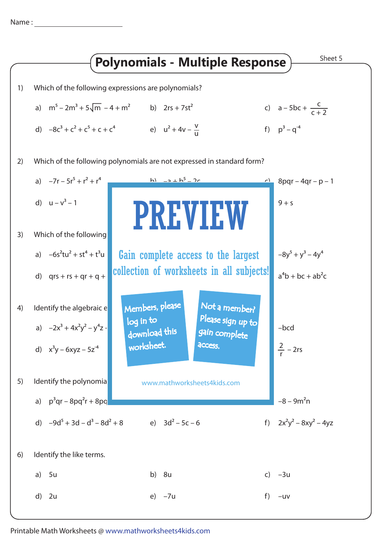